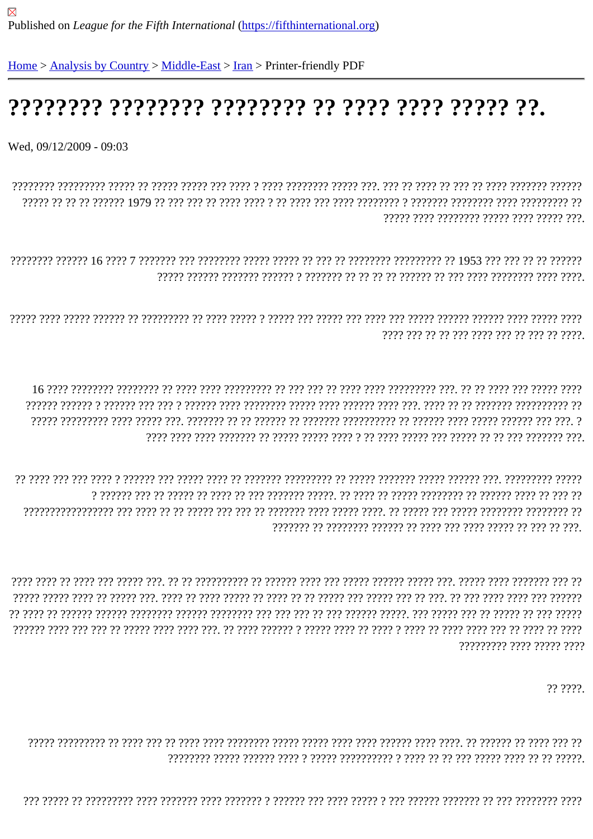## 

Wed, 09/12/2009 - 09:03

????? ???? ???????? ????? ???? ?????

???? ??? ?? ??? ???? ??? ??? ??? ??? ??

ירך רררררך ררררך הררכבין רוררך הררכבין רורך להרכבין רורררך רך ררכבין ררכבין ררך הררכבין ר 

777777777 7777 77777 777

?? ????